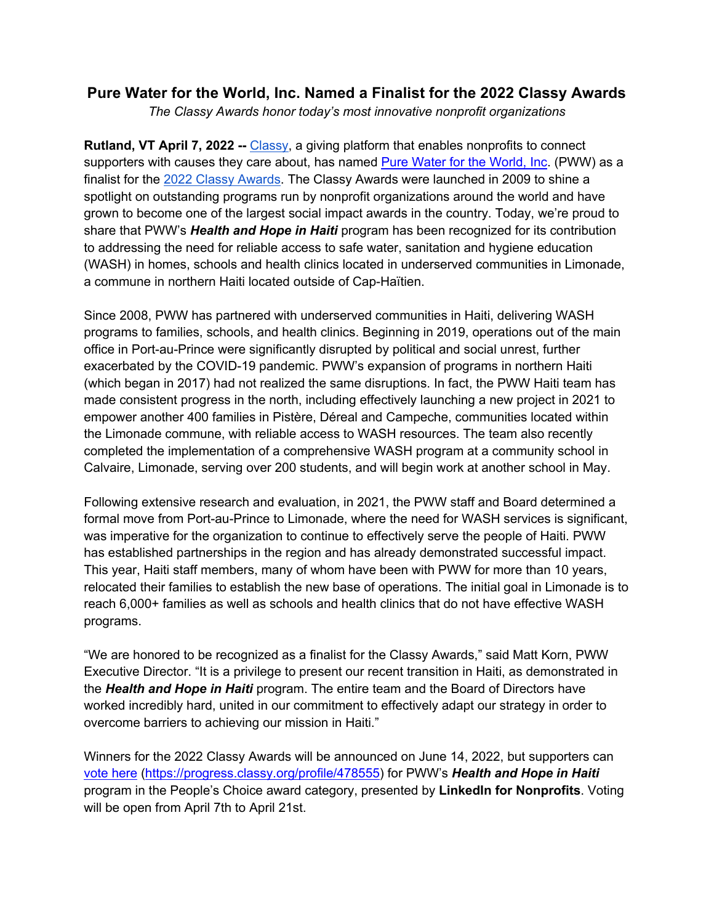## **Pure Water for the World, Inc. Named a Finalist for the 2022 Classy Awards**

*The Classy Awards honor today's most innovative nonprofit organizations*

**Rutland, VT April 7, 2022 --** Classy, a giving platform that enables nonprofits to connect supporters with causes they care about, has named Pure Water for the World, Inc. (PWW) as a finalist for the 2022 Classy Awards. The Classy Awards were launched in 2009 to shine a spotlight on outstanding programs run by nonprofit organizations around the world and have grown to become one of the largest social impact awards in the country. Today, we're proud to share that PWW's *Health and Hope in Haiti* program has been recognized for its contribution to addressing the need for reliable access to safe water, sanitation and hygiene education (WASH) in homes, schools and health clinics located in underserved communities in Limonade, a commune in northern Haiti located outside of Cap-Haïtien.

Since 2008, PWW has partnered with underserved communities in Haiti, delivering WASH programs to families, schools, and health clinics. Beginning in 2019, operations out of the main office in Port-au-Prince were significantly disrupted by political and social unrest, further exacerbated by the COVID-19 pandemic. PWW's expansion of programs in northern Haiti (which began in 2017) had not realized the same disruptions. In fact, the PWW Haiti team has made consistent progress in the north, including effectively launching a new project in 2021 to empower another 400 families in Pistère, Déreal and Campeche, communities located within the Limonade commune, with reliable access to WASH resources. The team also recently completed the implementation of a comprehensive WASH program at a community school in Calvaire, Limonade, serving over 200 students, and will begin work at another school in May.

Following extensive research and evaluation, in 2021, the PWW staff and Board determined a formal move from Port-au-Prince to Limonade, where the need for WASH services is significant, was imperative for the organization to continue to effectively serve the people of Haiti. PWW has established partnerships in the region and has already demonstrated successful impact. This year, Haiti staff members, many of whom have been with PWW for more than 10 years, relocated their families to establish the new base of operations. The initial goal in Limonade is to reach 6,000+ families as well as schools and health clinics that do not have effective WASH programs.

"We are honored to be recognized as a finalist for the Classy Awards," said Matt Korn, PWW Executive Director. "It is a privilege to present our recent transition in Haiti, as demonstrated in the *Health and Hope in Haiti* program. The entire team and the Board of Directors have worked incredibly hard, united in our commitment to effectively adapt our strategy in order to overcome barriers to achieving our mission in Haiti."

Winners for the 2022 Classy Awards will be announced on June 14, 2022, but supporters can vote here (https://progress.classy.org/profile/478555) for PWW's *Health and Hope in Haiti* program in the People's Choice award category, presented by **LinkedIn for Nonprofits**. Voting will be open from April 7th to April 21st.